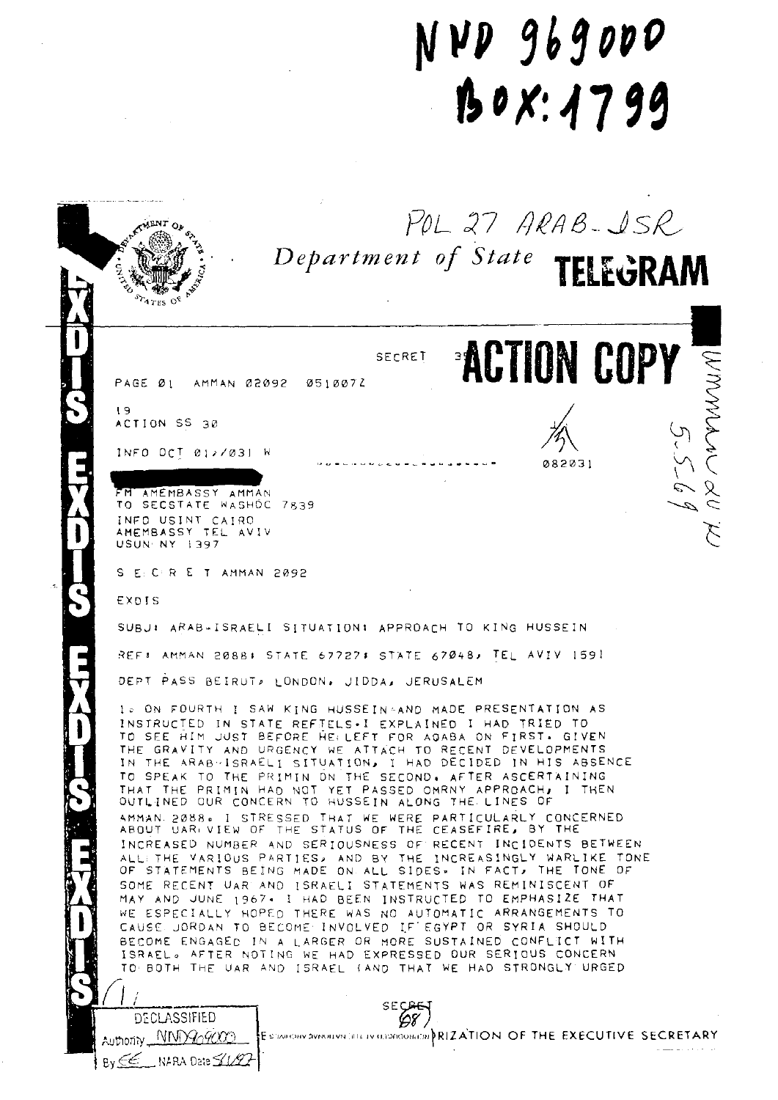## NVD 969000  $150X:1799$

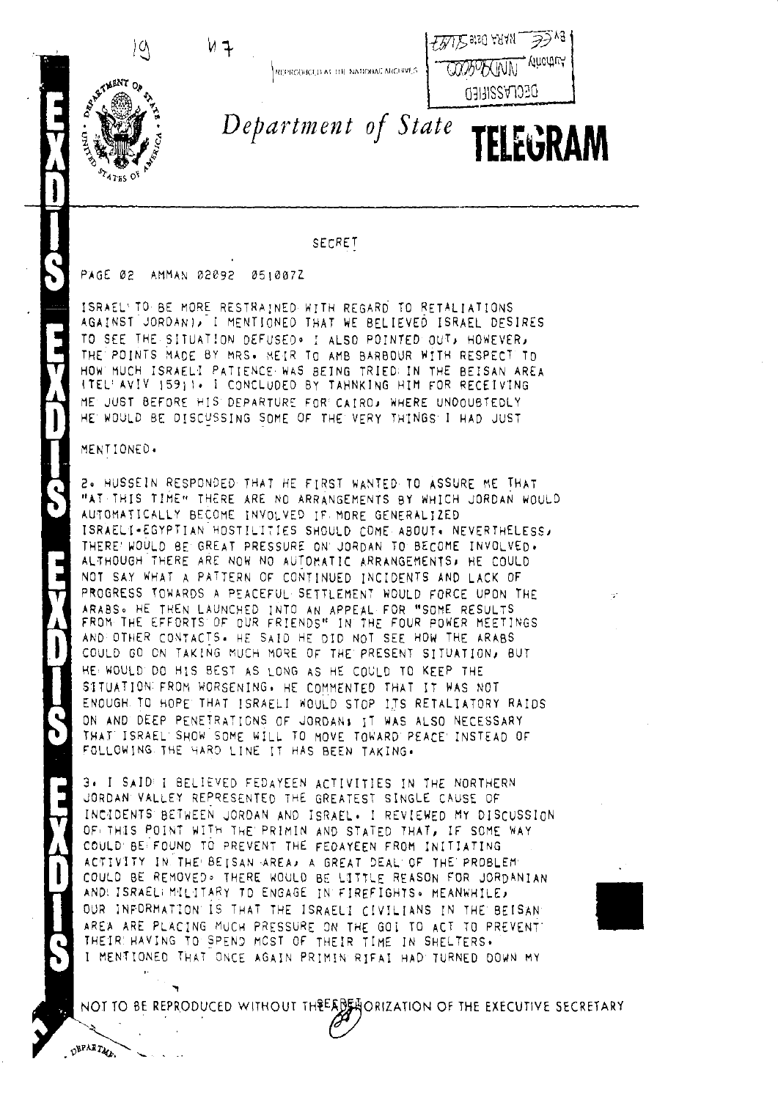

REPRODUCED AT THE NATIONAL ARCHIVES.



SAFTMENT OF **PATES OF** 

 $\alpha$ 

Department of State TELEGRAM

SECRET

PAGE 02 AMMAN 02092 0510072

ISRAEL'TO BE MORE RESTRAINED WITH REGARD TO RETALIATIONS AGAINST JORDANI, I MENTIONED THAT WE BELIEVED ISRAEL DESIRES TO SEE THE SITUATION DEFUSED. I ALSO POINTED OUT, HOWEVER, THE POINTS MADE BY MRS. MEIR TO AMB BARBOUR WITH RESPECT TO HOW MUCH ISRAELI PATIENCE WAS BEING TRIED: IN THE BEISAN AREA ITEL'AVIV 1591). I CONCLUDED BY TAHNKING HIM FOR RECEIVING ME JUST BEFORE HIS DEPARTURE FOR CAIRO, WHERE UNDOUBTEDLY HE WOULD BE DISCUSSING SOME OF THE VERY THINGS I HAD JUST

MENTIONED.

DEPARTMENT

2. HUSSEIN RESPONDED THAT HE FIRST WANTED TO ASSURE ME THAT "AT THIS TIME" THERE ARE NO ARRANGEMENTS BY WHICH JORDAN WOULD AUTOMATICALLY BECOME INVOLVED IF MORE GENERALIZED ISRAELI-EGYPTIAN HOSTILITIES SHOULD COME ABOUT. NEVERTHELESS, THERE WOULD BE GREAT PRESSURE ON JORDAN TO BECOME INVOLVED. ALTHOUGH THERE ARE NOW NO AUTOMATIC ARRANGEMENTS. HE COULD NOT SAY WHAT A PATTERN OF CONTINUED INCIDENTS AND LACK OF PROGRESS TOWARDS A PEACEFUL SETTLEMENT WOULD FORCE UPON THE ARABS. HE THEN LAUNCHED INTO AN APPEAL FOR "SOME RESULTS FROM THE EFFORTS OF OUR FRIENDS" IN THE FOUR POWER MEETINGS AND OTHER CONTACTS. HE SAID HE DID NOT SEE HOW THE ARABS COULD GO ON TAKING MUCH MORE OF THE PRESENT SITUATION, BUT HE WOULD DO HIS BEST AS LONG AS HE COULD TO KEEP THE SITUATION FROM WORSENING. HE COMMENTED THAT IT WAS NOT ENOUGH TO HOPE THAT ISRAELI WOULD STOP ITS RETALIATORY RAIDS ON AND DEEP PENETRATIONS OF JORDAN: IT WAS ALSO NECESSARY THAT ISRAEL SHOW SOME WILL TO MOVE TOWARD PEACE INSTEAD OF FOLLOWING THE HARD LINE IT HAS BEEN TAKING.

3. I SAID I BELIEVED FEDAYEEN ACTIVITIES IN THE NORTHERN JORDAN VALLEY REPRESENTED THE GREATEST SINGLE CAUSE OF INCIDENTS BETWEEN JORDAN AND ISRAEL. I REVIEWED MY DISCUSSION OF THIS POINT WITH THE PRIMIN AND STATED THAT, IF SOME WAY COULD BE FOUND TO PREVENT THE FEDAYEEN FROM INITIATING ACTIVITY IN THE BETSAN AREAL A GREAT DEAL OF THE PROBLEM COULD BE REMOVED. THERE WOULD BE LITTLE REASON FOR JORDANIAN ANDI ISRAELI MILITARY TO ENGAGE IN FIREFIGHTS. MEANWHILE, OUR INFORMATION IS THAT THE ISRAELT CIVILIANS IN THE BEISAN AREA ARE PLACING MUCH PRESSURE ON THE GOI TO ACT TO PREVENT THEIR HAVING TO SPEND MOST OF THEIR TIME IN SHELTERS. I MENTIONED THAT ONCE AGAIN PRIMIN RIFAI HAD TURNED DOWN MY

NOT TO BE REPRODUCED WITHOUT THREADER ORIZATION OF THE EXECUTIVE SECRETARY